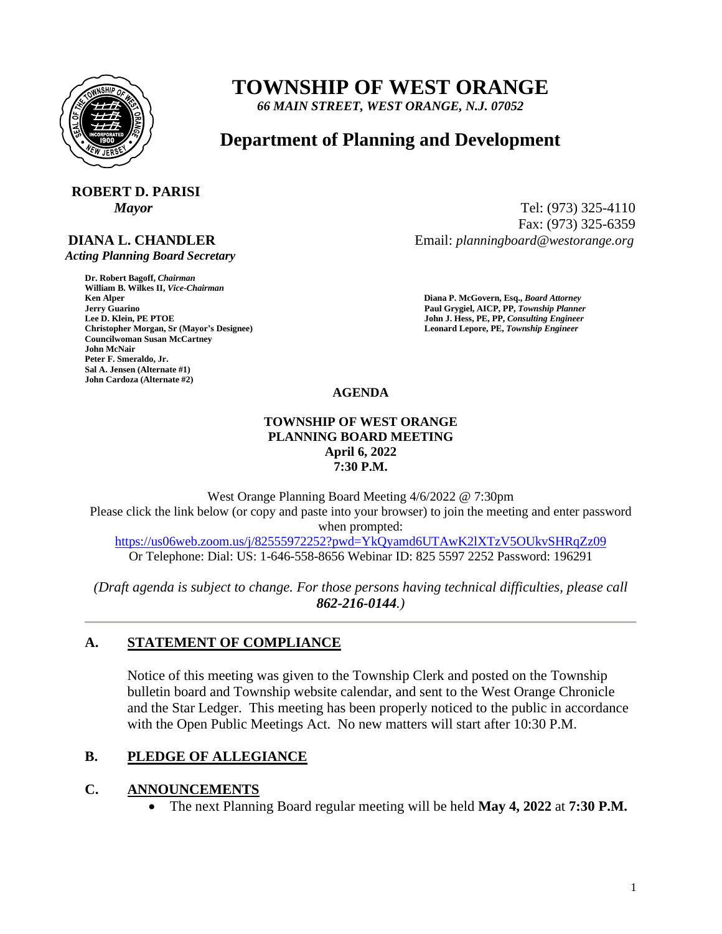

# **TOWNSHIP OF WEST ORANGE**

*66 MAIN STREET, WEST ORANGE, N.J. 07052*

# **Department of Planning and Development**

# **ROBERT D. PARISI**

## **DIANA L. CHANDLER**

 *Acting Planning Board Secretary*

**Dr. Robert Bagoff,** *Chairman*  **William B. Wilkes II,** *Vice-Chairman*  **Faul Grygiel, AICP, PP,** *Township Planner* **Paul Grygiel, AICP, PP,** *Township Planner* **Lee D. Klein, PE PTOE <b>Properties Christopher Morgan, Sr (Mayor's Designee) Leonard Lepore, PE,** *Township Engineer*  **Councilwoman Susan McCartney John McNair Peter F. Smeraldo, Jr. Sal A. Jensen (Alternate #1) John Cardoza (Alternate #2)**

*Mayor* Tel: (973) 325-4110 Fax: (973) 325-6359 Email: *planningboard@westorange.org*

> **Ken Alper****Diana P. McGovern, Esq.,** *Board Attorney*  **John J. Hess, PE, PP, Consulting Engineer**

### **AGENDA**

#### **TOWNSHIP OF WEST ORANGE PLANNING BOARD MEETING April 6, 2022 7:30 P.M.**

West Orange Planning Board Meeting 4/6/2022 @ 7:30pm Please click the link below (or copy and paste into your browser) to join the meeting and enter password when prompted:

<https://us06web.zoom.us/j/82555972252?pwd=YkQyamd6UTAwK2lXTzV5OUkvSHRqZz09> Or Telephone: Dial: US: 1-646-558-8656 Webinar ID: 825 5597 2252 Password: 196291

*(Draft agenda is subject to change. For those persons having technical difficulties, please call 862-216-0144.)*

## **A. STATEMENT OF COMPLIANCE**

Notice of this meeting was given to the Township Clerk and posted on the Township bulletin board and Township website calendar, and sent to the West Orange Chronicle and the Star Ledger. This meeting has been properly noticed to the public in accordance with the Open Public Meetings Act. No new matters will start after 10:30 P.M.

### **B. PLEDGE OF ALLEGIANCE**

### **C. ANNOUNCEMENTS**

• The next Planning Board regular meeting will be held **May 4, 2022** at **7:30 P.M.**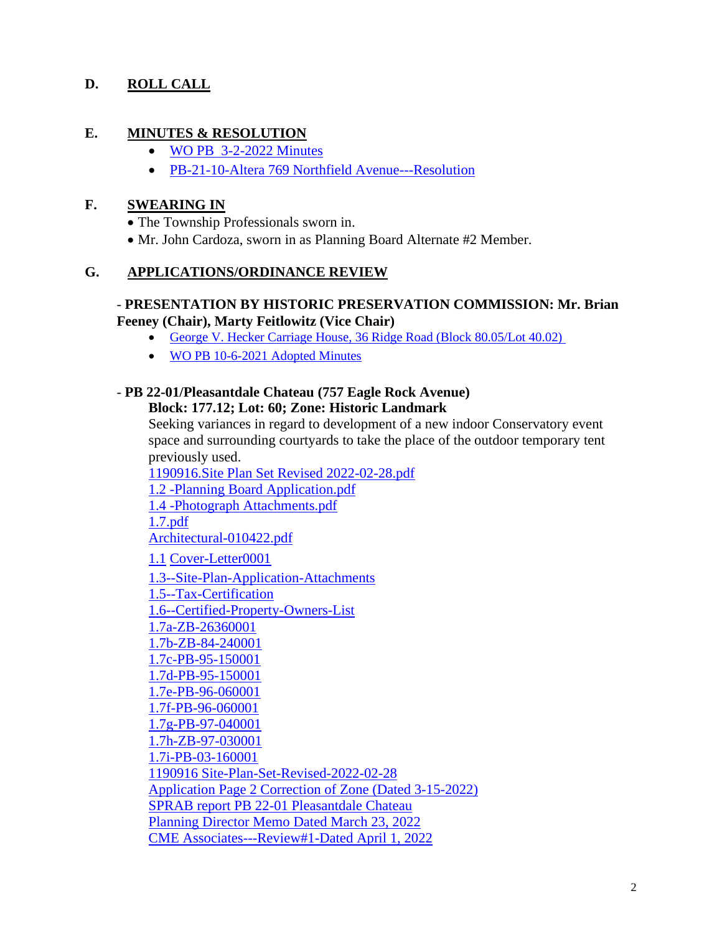## **D. ROLL CALL**

### **E. MINUTES & RESOLUTION**

- [WO PB 3-2-2022 Minutes](https://www.westorange.org/DocumentCenter/View/9435/3-2-2022-WO-PB-Final-Minutes)
- [PB-21-10-Altera 769 Northfield Avenue---Resolution](https://www.westorange.org/DocumentCenter/View/9447/PB-21-10-Altera-769-769-Northfield-Avenue---Resolution)

#### **F. SWEARING IN**

- The Township Professionals sworn in.
- Mr. John Cardoza, sworn in as Planning Board Alternate #2 Member.

#### **G. APPLICATIONS/ORDINANCE REVIEW**

#### - **PRESENTATION BY HISTORIC PRESERVATION COMMISSION: Mr. Brian Feeney (Chair), Marty Feitlowitz (Vice Chair)**

- [George V. Hecker Carriage House, 36 Ridge Road \(Block 80.05/Lot 40.02\)](https://www.westorange.org/DocumentCenter/View/8692/20054-George-V-Hecker-Carriage-House-Township-of-West-Orange-Landmark-Designation-Report_FINAL)
- [WO PB 10-6-2021](https://www.westorange.org/DocumentCenter/View/9371/WO-PB-10-6-2021-Minutes-Adopted) Adopted Minutes

# - **PB 22-01/Pleasantdale Chateau (757 Eagle Rock Avenue)**

## **Block: 177.12; Lot: 60; Zone: Historic Landmark**

Seeking variances in regard to development of a new indoor Conservatory event space and surrounding courtyards to take the place of the outdoor temporary tent previously used.

[1190916.Site Plan Set Revised 2022-02-28.pdf](https://westorange365-my.sharepoint.com/:b:/g/personal/mgarcia_westorange_org/EXt7Qp1_g5RMthbyDfGRT5EBOuyWVsJvR8hcvdqv7gLsEQ?e=K3fVV9)

[1.2 -Planning Board Application.pdf](https://westorange365-my.sharepoint.com/:b:/g/personal/mgarcia_westorange_org/EQ0nbILkHExFn12fUmxcH8YBlBKhNnZwB4-qlpb1b146UQ?e=ZNvXv0)

[1.4 -Photograph Attachments.pdf](https://westorange365-my.sharepoint.com/:b:/g/personal/mgarcia_westorange_org/EcDV7oBbHihHrnlYYpBv3m8BTin98gyzD98qe8f-f2uNeQ?e=xDBsJC)

[1.7.pdf](https://westorange365-my.sharepoint.com/:b:/g/personal/mgarcia_westorange_org/EWNek2pq_6JLgyTr1DSIe1oBZHokBh5xZsQyT5kfB0Wj-Q?e=XUtoYj)

[Architectural-010422.pdf](https://westorange365-my.sharepoint.com/:b:/g/personal/mgarcia_westorange_org/ETOevc5rIghFliiS0-U7KjgBILRcbjPU113S9oG1hqnzWg?e=NoiwEQ)

1.1 [Cover-Letter0001](https://www.westorange.org/DocumentCenter/View/9407/11--Cover-Letter0001)

[1.3--Site-Plan-Application-Attachments](https://www.westorange.org/DocumentCenter/View/9408/13--Site-Plan-Application-Attachments)

[1.5--Tax-Certification](https://www.westorange.org/DocumentCenter/View/9409/15--Tax-Certification)

[1.6--Certified-Property-Owners-List](https://www.westorange.org/DocumentCenter/View/9410/16--Certified-Property-Owners-List)

[1.7a-ZB-26360001](https://www.westorange.org/DocumentCenter/View/9411/17a-ZB-26360001)

[1.7b-ZB-84-240001](https://www.westorange.org/DocumentCenter/View/9412/17b-ZB-84-240001)

[1.7c-PB-95-150001](https://www.westorange.org/DocumentCenter/View/9413/17c-PB-95-150001)

[1.7d-PB-95-150001](https://www.westorange.org/DocumentCenter/View/9414/17d-PB-95-150001)

[1.7e-PB-96-060001](https://www.westorange.org/DocumentCenter/View/9415/17e-PB-96-060001)

[1.7f-PB-96-060001](https://www.westorange.org/DocumentCenter/View/9416/17f-PB-96-060001)

[1.7g-PB-97-040001](https://www.westorange.org/DocumentCenter/View/9417/17g-PB-97-040001)

[1.7h-ZB-97-030001](https://www.westorange.org/DocumentCenter/View/9418/17h-ZB-97-030001)

[1.7i-PB-03-160001](https://www.westorange.org/DocumentCenter/View/9419/17i-PB-03-160001)

[1190916 Site-Plan-Set-Revised-2022-02-28](https://www.westorange.org/DocumentCenter/View/9420/1190916Site-Plan-Set-Revised-2022-02-28)

[Application Page 2 Correction of Zone \(Dated 3-15-2022\)](https://www.westorange.org/DocumentCenter/View/9446/Application-Page-2-Corrected-Zone-031522)

[SPRAB report PB 22-01 Pleasantdale Chateau](https://www.westorange.org/DocumentCenter/View/9465/SPRAB-report-PB-22-01---Pleasantdale-Chateau)

[Planning Director Memo Dated March 23, 2022](https://www.westorange.org/DocumentCenter/View/9471/Planning-Director-Memo-Dated---March-23-2022)

[CME Associates---Review#1-Dated April 1, 2022](https://www.westorange.org/DocumentCenter/View/9515/CME-Associates---Review-1-Dated-April-1-2022)